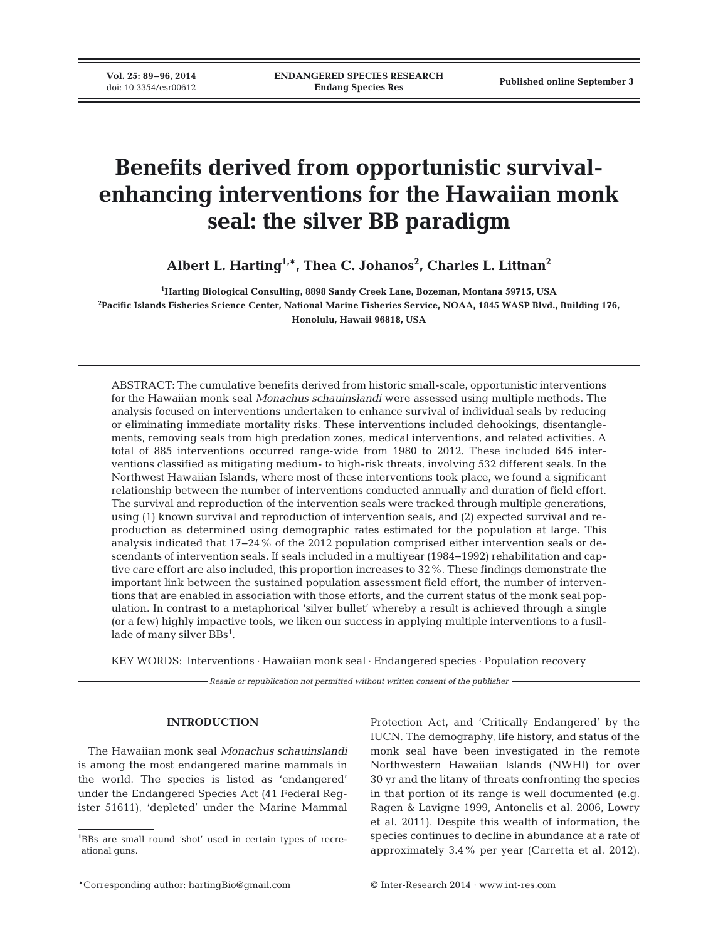**Vol. 25: 89–96, 2014**<br>doi: 10.3354/esr00612

# **Benefits derived from opportunistic survivalenhancing interventions for the Hawaiian monk seal: the silver BB paradigm**

**Albert L. Harting1,\*, Thea C. Johanos2 , Charles L. Littnan2**

**1 Harting Biological Consulting, 8898 Sandy Creek Lane, Bozeman, Montana 59715, USA 2 Pacific Islands Fisheries Science Center, National Marine Fisheries Service, NOAA, 1845 WASP Blvd., Building 176, Honolulu, Hawaii 96818, USA**

ABSTRACT: The cumulative benefits derived from historic small-scale, opportunistic interventions for the Hawaiian monk seal *Monachus schauinslandi* were assessed using multiple methods. The analysis focused on interventions undertaken to enhance survival of individual seals by reducing or eliminating immediate mortality risks. These interventions included dehookings, disentanglements, removing seals from high predation zones, medical interventions, and related activities. A total of 885 interventions occurred range-wide from 1980 to 2012. These included 645 inter ventions classified as mitigating medium- to high-risk threats, involving 532 different seals. In the Northwest Hawaiian Islands, where most of these interventions took place, we found a significant relationship between the number of interventions conducted annually and duration of field effort. The survival and reproduction of the intervention seals were tracked through multiple generations, using (1) known survival and reproduction of intervention seals, and (2) expected survival and reproduction as determined using demographic rates estimated for the population at large. This analysis indicated that 17−24% of the 2012 population comprised either intervention seals or descendants of intervention seals. If seals included in a multiyear (1984−1992) rehabilitation and captive care effort are also included, this proportion increases to 32%. These findings demonstrate the important link between the sustained population assessment field effort, the number of interventions that are enabled in association with those efforts, and the current status of the monk seal population. In contrast to a metaphorical 'silver bullet' whereby a result is achieved through a single (or a few) highly impactive tools, we liken our success in applying multiple interventions to a fusillade of many silver BBs**<sup>1</sup>** .

KEY WORDS: Interventions · Hawaiian monk seal · Endangered species · Population recovery

*Resale or republication not permitted without written consent of the publisher*

## **INTRODUCTION**

The Hawaiian monk seal *Monachus schauinslandi* is among the most endangered marine mammals in the world. The species is listed as 'endangered' under the Endangered Species Act (41 Federal Register 51611), 'depleted' under the Marine Mammal Protection Act, and 'Critically Endangered' by the IUCN. The demography, life history, and status of the monk seal have been investigated in the remote Northwestern Hawaiian Islands (NWHI) for over 30 yr and the litany of threats confronting the species in that portion of its range is well documented (e.g. Ragen & Lavigne 1999, Antonelis et al. 2006, Lowry et al. 2011). Despite this wealth of information, the species continues to decline in abundance at a rate of approximately 3.4% per year (Carretta et al. 2012).

**<sup>1</sup>** BBs are small round 'shot' used in certain types of recreational guns.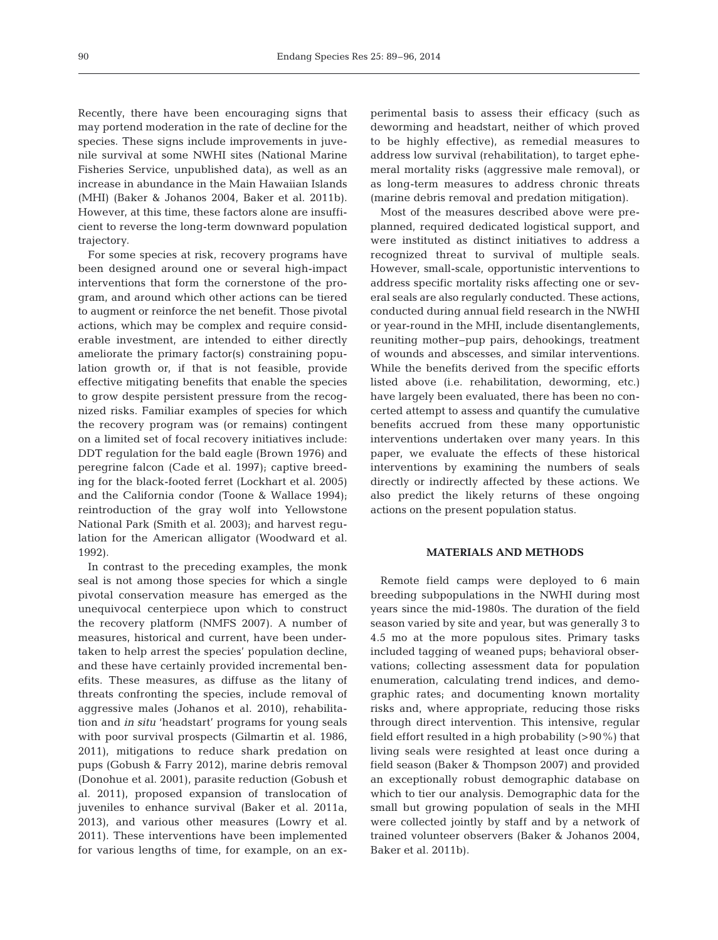Recently, there have been encouraging signs that may portend moderation in the rate of decline for the species. These signs include improvements in juvenile survival at some NWHI sites (National Marine Fisheries Service, unpublished data), as well as an increase in abundance in the Main Hawaiian Islands (MHI) (Baker & Johanos 2004, Baker et al. 2011b). However, at this time, these factors alone are insufficient to reverse the long-term downward population trajectory.

For some species at risk, recovery programs have been designed around one or several high-impact interventions that form the cornerstone of the program, and around which other actions can be tiered to augment or reinforce the net benefit. Those pivotal actions, which may be complex and require considerable investment, are intended to either directly ameliorate the primary factor(s) constraining population growth or, if that is not feasible, provide effective mitigating benefits that enable the species to grow despite persistent pressure from the recognized risks. Familiar examples of species for which the recovery program was (or remains) contingent on a limited set of focal recovery initiatives include: DDT regulation for the bald eagle (Brown 1976) and peregrine falcon (Cade et al. 1997); captive breeding for the black-footed ferret (Lockhart et al. 2005) and the California condor (Toone & Wallace 1994); reintroduction of the gray wolf into Yellowstone National Park (Smith et al. 2003); and harvest regulation for the American alligator (Woodward et al. 1992).

In contrast to the preceding examples, the monk seal is not among those species for which a single pivotal conservation measure has emerged as the unequivocal centerpiece upon which to construct the recovery platform (NMFS 2007). A number of measures, historical and current, have been undertaken to help arrest the species' population decline, and these have certainly provided incremental benefits. These measures, as diffuse as the litany of threats confronting the species, include removal of aggressive males (Johanos et al. 2010), rehabilitation and *in situ* 'headstart' programs for young seals with poor survival prospects (Gilmartin et al. 1986, 2011), mitigations to reduce shark predation on pups (Gobush & Farry 2012), marine debris removal (Donohue et al. 2001), parasite reduction (Gobush et al. 2011), proposed expansion of translocation of juveniles to enhance survival (Baker et al. 2011a, 2013), and various other measures (Lowry et al. 2011). These interventions have been implemented for various lengths of time, for example, on an experimental basis to assess their efficacy (such as deworming and headstart, neither of which proved to be highly effective), as remedial measures to address low survival (rehabilitation), to target ephe meral mortality risks (aggressive male removal), or as long-term measures to address chronic threats (marine debris removal and predation mitigation).

Most of the measures described above were preplanned, required dedicated logistical support, and were instituted as distinct initiatives to address a re cognized threat to survival of multiple seals. However, small-scale, opportunistic interventions to address specific mortality risks affecting one or several seals are also regularly conducted. These actions, conducted during annual field research in the NWHI or year-round in the MHI, include disentanglements, reuniting mother−pup pairs, dehookings, treatment of wounds and abscesses, and similar interventions. While the benefits derived from the specific efforts listed above (i.e. rehabilitation, deworming, etc.) have largely been evaluated, there has been no concerted attempt to assess and quantify the cumulative benefits accrued from these many opportunistic interventions undertaken over many years. In this paper, we evaluate the effects of these historical interventions by examining the numbers of seals directly or indirectly affected by these actions. We also predict the likely returns of these ongoing actions on the present population status.

## **MATERIALS AND METHODS**

Remote field camps were deployed to 6 main breeding subpopulations in the NWHI during most years since the mid-1980s. The duration of the field season varied by site and year, but was generally 3 to 4.5 mo at the more populous sites. Primary tasks included tagging of weaned pups; behavioral observations; collecting assessment data for population enumeration, calculating trend indices, and demographic rates; and documenting known mortality risks and, where appropriate, reducing those risks through direct intervention. This intensive, regular field effort resulted in a high probability  $(>90\%)$  that living seals were resighted at least once during a field season (Baker & Thompson 2007) and provided an exceptionally robust demographic database on which to tier our analysis. Demographic data for the small but growing population of seals in the MHI were collected jointly by staff and by a network of trained volunteer observers (Baker & Johanos 2004, Baker et al. 2011b).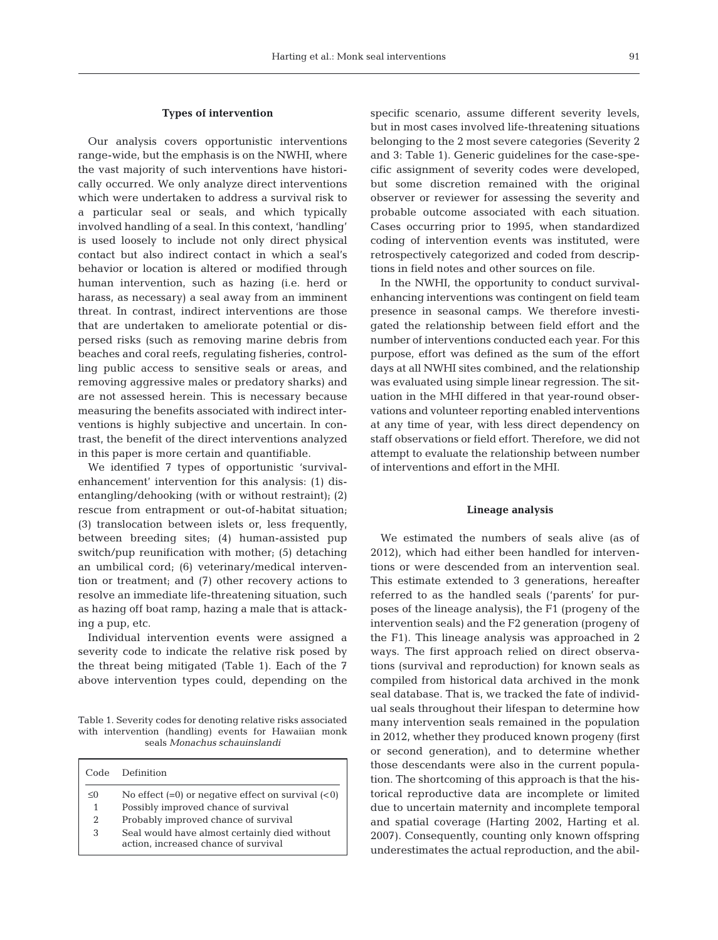#### **Types of intervention**

Our analysis covers opportunistic interventions range-wide, but the emphasis is on the NWHI, where the vast majority of such interventions have historically occurred. We only analyze direct interventions which were undertaken to address a survival risk to a particular seal or seals, and which typically involved handling of a seal. In this context, 'handling' is used loosely to include not only direct physical contact but also indirect contact in which a seal's behavior or location is altered or modified through human intervention, such as hazing (i.e. herd or harass, as necessary) a seal away from an imminent threat. In contrast, indirect interventions are those that are undertaken to ameliorate potential or dispersed risks (such as removing marine debris from beaches and coral reefs, regulating fisheries, controlling public access to sensitive seals or areas, and removing aggressive males or predatory sharks) and are not assessed herein. This is necessary because measuring the benefits associated with indirect interventions is highly subjective and uncertain. In contrast, the benefit of the direct interventions analyzed in this paper is more certain and quantifiable.

We identified 7 types of opportunistic 'survivalenhancement' intervention for this analysis: (1) disentangling/dehooking (with or without restraint); (2) rescue from entrapment or out-of-habitat situation; (3) translocation between islets or, less frequently, between breeding sites; (4) human-assisted pup switch/ $p$ up reunification with mother; (5) detaching an umbilical cord; (6) veterinary/medical intervention or treatment; and (7) other recovery actions to resolve an immediate life-threatening situation, such as hazing off boat ramp, hazing a male that is attacking a pup, etc.

Individual intervention events were assigned a severity code to indicate the relative risk posed by the threat being mitigated (Table 1). Each of the 7 above intervention types could, depending on the

Table 1. Severity codes for denoting relative risks associated with intervention (handling) events for Hawaiian monk seals *Monachus schauinslandi*

| Code.    | Definition                                                                            |
|----------|---------------------------------------------------------------------------------------|
| $\leq$ 0 | No effect $(=0)$ or negative effect on survival $(< 0)$                               |
| 1        | Possibly improved chance of survival                                                  |
| 2        | Probably improved chance of survival                                                  |
| 3        | Seal would have almost certainly died without<br>action, increased chance of survival |

specific scenario, assume different severity levels, but in most cases involved life-threatening situations belonging to the 2 most severe categories (Severity 2 and 3: Table 1). Generic guidelines for the case-specific assignment of severity codes were developed, but some discretion remained with the original observer or reviewer for assessing the severity and probable outcome associated with each situation. Cases occurring prior to 1995, when standardized coding of intervention events was instituted, were retrospectively categorized and coded from descriptions in field notes and other sources on file.

In the NWHI, the opportunity to conduct survivalenhancing interventions was contingent on field team presence in seasonal camps. We therefore investigated the relationship between field effort and the number of interventions conducted each year. For this purpose, effort was defined as the sum of the effort days at all NWHI sites combined, and the relationship was evaluated using simple linear regression. The situation in the MHI differed in that year-round observations and volunteer reporting enabled interventions at any time of year, with less direct dependency on staff observations or field effort. Therefore, we did not attempt to evaluate the relationship between number of interventions and effort in the MHI.

## **Lineage analysis**

We estimated the numbers of seals alive (as of 2012), which had either been handled for interventions or were descended from an intervention seal. This estimate extended to 3 generations, hereafter referred to as the handled seals ('parents' for purposes of the lineage analysis), the F1 (progeny of the intervention seals) and the F2 generation (progeny of the F1). This lineage analysis was approached in 2 ways. The first approach relied on direct observations (survival and reproduction) for known seals as compiled from historical data archived in the monk seal database. That is, we tracked the fate of individual seals throughout their lifespan to determine how many intervention seals remained in the population in 2012, whether they produced known progeny (first or second generation), and to determine whether those descendants were also in the current population. The shortcoming of this approach is that the historical reproductive data are incomplete or limited due to uncertain maternity and incomplete temporal and spatial coverage (Harting 2002, Harting et al. 2007). Consequently, counting only known offspring underestimates the actual reproduction, and the abil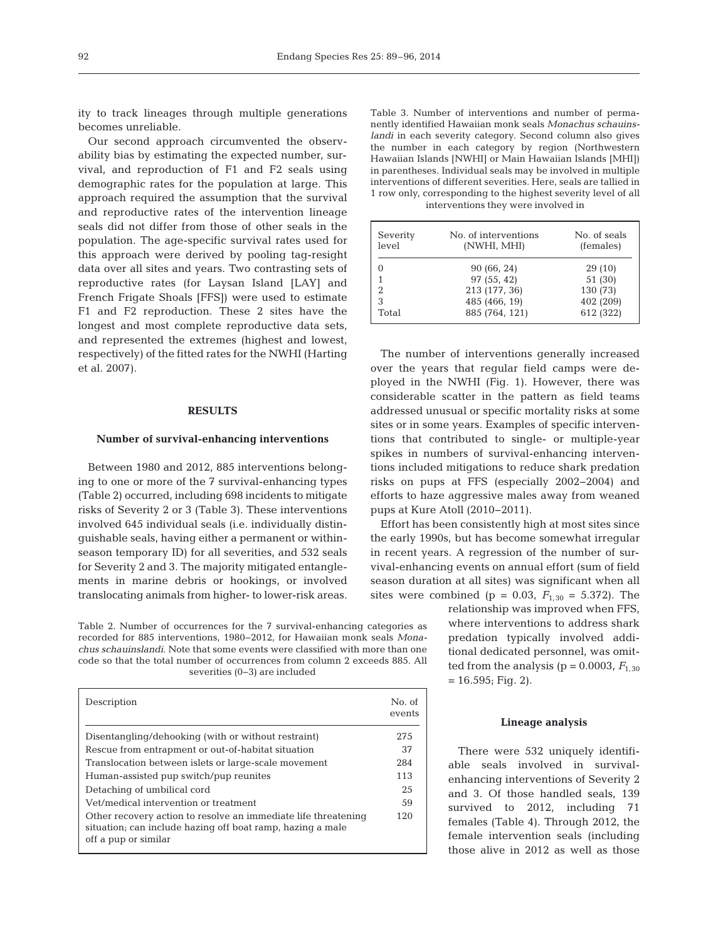ity to track lineages through multiple generations becomes unreliable.

Our second approach circumvented the observability bias by estimating the expected number, survival, and reproduction of F1 and F2 seals using demographic rates for the population at large. This approach required the assumption that the survival and reproductive rates of the intervention lineage seals did not differ from those of other seals in the population. The age-specific survival rates used for this approach were derived by pooling tag-resight data over all sites and years. Two contrasting sets of reproductive rates (for Laysan Island [LAY] and French Frigate Shoals [FFS]) were used to estimate F1 and F2 reproduction. These 2 sites have the longest and most complete reproductive data sets, and represented the extremes (highest and lowest, respectively) of the fitted rates for the NWHI (Harting et al. 2007).

### **RESULTS**

#### **Number of survival-enhancing interventions**

Between 1980 and 2012, 885 interventions belonging to one or more of the 7 survival-enhancing types (Table 2) occurred, including 698 incidents to mitigate risks of Severity 2 or 3 (Table 3). These interventions involved 645 individual seals (i.e. individually distinguishable seals, having either a permanent or withinseason temporary ID) for all severities, and 532 seals for Severity 2 and 3. The majority mitigated entanglements in marine debris or hookings, or involved translocating animals from higher- to lower-risk areas.

Table 2. Number of occurrences for the 7 survival-enhancing categories as recorded for 885 interventions, 1980−2012, for Hawaiian monk seals *Mona chus schauinslandi*. Note that some events were classified with more than one code so that the total number of occurrences from column 2 exceeds 885. All severities (0−3) are included

| Description                                                                                                                                          | No. of<br>events |
|------------------------------------------------------------------------------------------------------------------------------------------------------|------------------|
| Disentangling/dehooking (with or without restraint)                                                                                                  | 275              |
| Rescue from entrapment or out-of-habitat situation                                                                                                   | 37               |
| Translocation between islets or large-scale movement                                                                                                 | 284              |
| Human-assisted pup switch/pup reunites                                                                                                               | 113              |
| Detaching of umbilical cord                                                                                                                          | 25               |
| Vet/medical intervention or treatment                                                                                                                | 59               |
| Other recovery action to resolve an immediate life threatening<br>situation, can include hazing off boat ramp, hazing a male<br>off a pup or similar | 120              |

Table 3. Number of interventions and number of permanently identified Hawaiian monk seals *Monachus schauinslandi* in each severity category. Second column also gives the number in each category by region (Northwestern Hawaiian Islands [NWHI] or Main Hawaiian Islands [MHI]) in parentheses. Individual seals may be involved in multiple interventions of different severities. Here, seals are tallied in 1 row only, corresponding to the highest severity level of all interventions they were involved in

| Severity<br>level | No. of interventions<br>(NWHI, MHI) | No. of seals<br>(females) |
|-------------------|-------------------------------------|---------------------------|
| 0                 | 90 (66, 24)                         | 29(10)                    |
| 1                 | 97 (55, 42)                         | 51 (30)                   |
| $\overline{2}$    | 213 (177, 36)                       | 130 (73)                  |
| 3                 | 485 (466, 19)                       | 402 (209)                 |
| Total             | 885 (764, 121)                      | 612 (322)                 |

The number of interventions generally increased over the years that regular field camps were deployed in the NWHI (Fig. 1). However, there was considerable scatter in the pattern as field teams addressed unusual or specific mortality risks at some sites or in some years. Examples of specific interventions that contributed to single- or multiple-year spikes in numbers of survival-enhancing interventions included mitigations to reduce shark predation risks on pups at FFS (especially 2002−2004) and efforts to haze aggressive males away from weaned pups at Kure Atoll (2010−2011).

Effort has been consistently high at most sites since the early 1990s, but has become somewhat irregular in re cent years. A regression of the number of survival-enhancing events on annual effort (sum of field season duration at all sites) was significant when all sites were combined (p = 0.03,  $F_{1,30} = 5.372$ ). The

> relationship was improved when FFS, where interventions to address shark predation typically involved additional dedicated personnel, was omitted from the analysis ( $p = 0.0003$ ,  $F_{1,30}$  $= 16.595$ ; Fig. 2).

#### **Lineage analysis**

There were 532 uniquely identifiable seals involved in survivalenhancing interventions of Severity 2 and 3. Of those handled seals, 139 survived to 2012, including 71 females (Table 4). Through 2012, the female intervention seals (including those alive in 2012 as well as those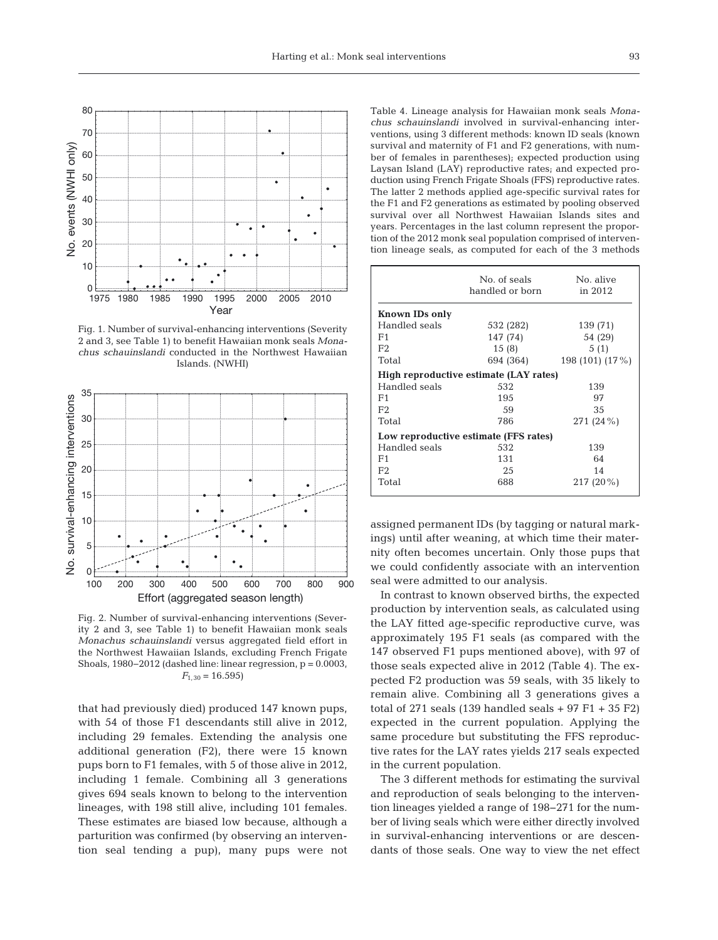

Fig. 1. Number of survival-enhancing interventions (Severity 2 and 3, see Table 1) to benefit Hawaiian monk seals Mona*chus schauinslandi* conducted in the Northwest Hawaiian Islands. (NWHI)



Fig. 2. Number of survival-enhancing interventions (Severity 2 and 3, see Table 1) to benefit Hawaiian monk seals *Monachus schauinslandi* versus aggregated field effort in the Northwest Hawaiian Islands, excluding French Frigate Shoals, 1980−2012 (dashed line: linear regression, p = 0.0003,  $F_{1,30} = 16.595$ 

that had previously died) produced 147 known pups, with 54 of those F1 descendants still alive in 2012, including 29 females. Extending the analysis one additional generation (F2), there were 15 known pups born to F1 females, with 5 of those alive in 2012, including 1 female. Combining all 3 generations gives 694 seals known to belong to the intervention lineages, with 198 still alive, including 101 females. These estimates are biased low because, although a parturition was confirmed (by observing an intervention seal tending a pup), many pups were not Table 4. Lineage analysis for Hawaiian monk seals *Monachus schauinslandi* involved in survival-enhancing interventions, using 3 different methods: known ID seals (known survival and maternity of F1 and F2 generations, with number of females in parentheses); expected production using Laysan Island (LAY) reproductive rates; and expected production using French Frigate Shoals (FFS) reproductive rates. The latter 2 methods applied age-specific survival rates for the F1 and F2 generations as estimated by pooling observed survival over all Northwest Hawaiian Islands sites and years. Percentages in the last column represent the proportion of the 2012 monk seal population comprised of intervention lineage seals, as computed for each of the 3 methods

|                                        | No. of seals    | No. alive       |  |  |  |  |
|----------------------------------------|-----------------|-----------------|--|--|--|--|
|                                        | handled or born | in 2012         |  |  |  |  |
|                                        |                 |                 |  |  |  |  |
| Known IDs only                         |                 |                 |  |  |  |  |
| Handled seals                          | 532 (282)       | 139 (71)        |  |  |  |  |
| F1                                     | 147 (74)        | 54 (29)         |  |  |  |  |
| F2                                     | 15(8)           | 5(1)            |  |  |  |  |
| Total                                  | 694 (364)       | 198 (101) (17%) |  |  |  |  |
| High reproductive estimate (LAY rates) |                 |                 |  |  |  |  |
| Handled seals                          | 532             | 139             |  |  |  |  |
| F1                                     | 195             | 97              |  |  |  |  |
| F2                                     | 59              | 35              |  |  |  |  |
| Total                                  | 786             | 271 (24 %)      |  |  |  |  |
| Low reproductive estimate (FFS rates)  |                 |                 |  |  |  |  |
| Handled seals                          | 532             | 139             |  |  |  |  |
| F1                                     | 131             | 64              |  |  |  |  |
| F2                                     | 25              | 14              |  |  |  |  |
| Total                                  | 688             | $217(20\%)$     |  |  |  |  |
|                                        |                 |                 |  |  |  |  |

assigned permanent IDs (by tagging or natural markings) until after weaning, at which time their maternity often becomes uncertain. Only those pups that we could confidently associate with an intervention seal were admitted to our analysis.

In contrast to known observed births, the expected production by in tervention seals, as calculated using the LAY fitted age-specific reproductive curve, was approximately 195 F1 seals (as compared with the 147 observed F1 pups mentioned above), with 97 of those seals expected alive in 2012 (Table 4). The expected F2 production was 59 seals, with 35 likely to remain alive. Combining all 3 generations gives a total of  $271$  seals (139 handled seals  $+97$  F1  $+35$  F2) expected in the current population. Applying the same procedure but substituting the FFS reproductive rates for the LAY rates yields 217 seals expected in the current population.

The 3 different methods for estimating the survival and reproduction of seals belonging to the intervention line ages yielded a range of 198−271 for the number of living seals which were either directly involved in survival-enhancing interventions or are descendants of those seals. One way to view the net effect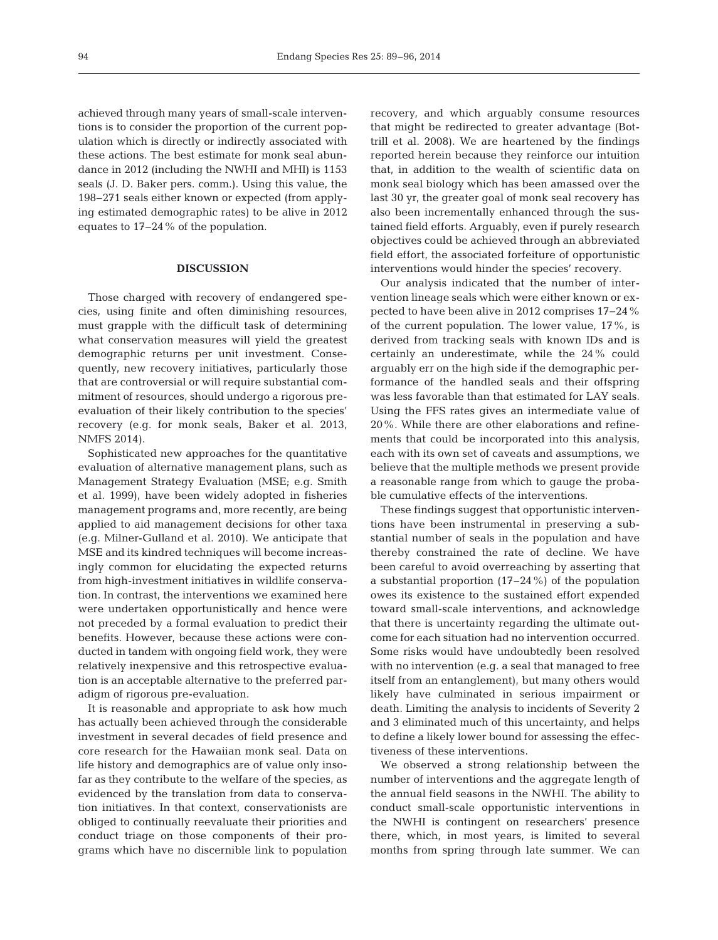achieved through many years of small-scale interventions is to consider the proportion of the current population which is directly or indirectly associated with these actions. The best estimate for monk seal abundance in 2012 (including the NWHI and MHI) is 1153 seals (J. D. Baker pers. comm.). Using this value, the 198−271 seals either known or expected (from applying estimated demographic rates) to be alive in 2012 equates to 17−24% of the population.

## **DISCUSSION**

Those charged with recovery of endangered species, using finite and often diminishing resources, must grapple with the difficult task of determining what conservation measures will yield the greatest demographic returns per unit investment. Consequently, new recovery initiatives, particularly those that are controversial or will require substantial commitment of resources, should undergo a rigorous preevaluation of their likely contribution to the species' recovery (e.g. for monk seals, Baker et al. 2013, NMFS 2014).

Sophisticated new approaches for the quantitative evaluation of alternative management plans, such as Management Strategy Evaluation (MSE; e.g. Smith et al. 1999), have been widely adopted in fisheries management programs and, more recently, are being applied to aid management decisions for other taxa (e.g. Milner-Gulland et al. 2010). We anticipate that MSE and its kindred techniques will become increasingly common for elucidating the expected returns from high-investment initiatives in wildlife conservation. In contrast, the interventions we examined here were undertaken opportunistically and hence were not preceded by a formal evaluation to predict their benefits. However, because these actions were conducted in tandem with ongoing field work, they were relatively inexpensive and this retrospective evaluation is an acceptable alternative to the preferred paradigm of rigorous pre-evaluation.

It is reasonable and appropriate to ask how much has actually been achieved through the considerable investment in several decades of field presence and core research for the Hawaiian monk seal. Data on life history and demographics are of value only insofar as they contribute to the welfare of the species, as evidenced by the translation from data to conservation initiatives. In that context, conservationists are obliged to continually reevaluate their priorities and conduct triage on those components of their programs which have no discernible link to population recovery, and which arguably consume resources that might be redirected to greater advantage (Bottrill et al. 2008). We are heartened by the findings reported herein because they reinforce our intuition that, in addition to the wealth of scientific data on monk seal biology which has been amassed over the last 30 yr, the greater goal of monk seal recovery has also been incrementally enhanced through the sustained field efforts. Arguably, even if purely research objectives could be achieved through an abbreviated field effort, the associated forfeiture of opportunistic interventions would hinder the species' recovery.

Our analysis indicated that the number of inter vention lineage seals which were either known or ex pected to have been alive in 2012 comprises 17−24% of the current population. The lower value, 17%, is derived from tracking seals with known IDs and is certainly an underestimate, while the 24% could arguably err on the high side if the demographic performance of the handled seals and their offspring was less favorable than that estimated for LAY seals. Using the FFS rates gives an intermediate value of 20%. While there are other elaborations and refinements that could be incorporated into this analysis, each with its own set of caveats and assumptions, we believe that the multiple methods we present provide a reasonable range from which to gauge the probable cumulative effects of the interventions.

These findings suggest that opportunistic interventions have been instrumental in preserving a substantial number of seals in the population and have thereby constrained the rate of decline. We have been careful to avoid overreaching by asserting that a substantial proportion (17−24%) of the population owes its existence to the sustained effort expended toward small-scale interventions, and acknowledge that there is uncertainty regarding the ultimate outcome for each situation had no intervention occurred. Some risks would have undoubtedly been resolved with no intervention (e.g. a seal that managed to free itself from an entanglement), but many others would likely have culminated in serious impairment or death. Limiting the analysis to incidents of Severity 2 and 3 eliminated much of this uncertainty, and helps to define a likely lower bound for assessing the effectiveness of these interventions.

We observed a strong relationship between the number of interventions and the aggregate length of the annual field seasons in the NWHI. The ability to conduct small-scale opportunistic interventions in the NWHI is contingent on researchers' presence there, which, in most years, is limited to several months from spring through late summer. We can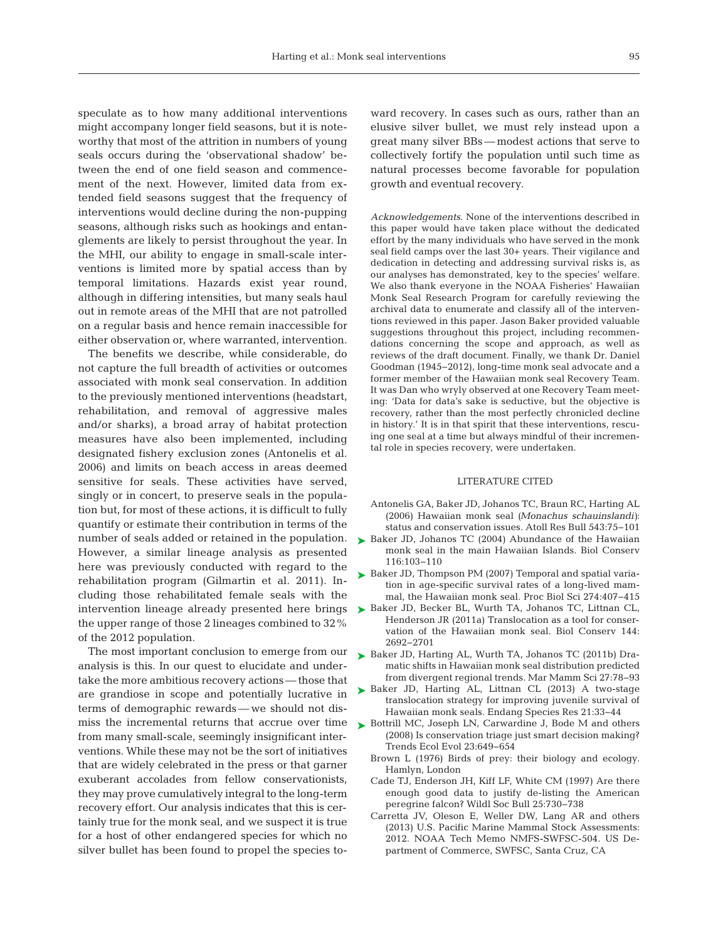speculate as to how many additional interventions might accompany longer field seasons, but it is noteworthy that most of the attrition in numbers of young seals occurs during the 'observational shadow' be tween the end of one field season and commencement of the next. However, limited data from extended field seasons suggest that the frequency of interventions would decline during the non-pupping seasons, although risks such as hookings and entanglements are likely to persist throughout the year. In the MHI, our ability to engage in small-scale interventions is limited more by spatial access than by temporal limitations. Hazards exist year round, although in differing intensities, but many seals haul out in remote areas of the MHI that are not patrolled on a regular basis and hence remain inaccessible for either observation or, where warranted, intervention.

The benefits we describe, while considerable, do not capture the full breadth of activities or outcomes associated with monk seal conservation. In addition to the previously mentioned interventions (headstart, rehabilitation, and removal of aggressive males and/or sharks), a broad array of habitat protection measures have also been implemented, including designated fishery exclusion zones (Antonelis et al. 2006) and limits on beach access in areas deemed sensitive for seals. These activities have served, singly or in concert, to preserve seals in the population but, for most of these actions, it is difficult to fully quantify or estimate their contribution in terms of the number of seals added or retained in the population. However, a similar lineage analysis as presented here was previously conducted with regard to the rehabilitation program (Gilmartin et al. 2011). In cluding those rehabilitated female seals with the intervention lineage already presented here brings the upper range of those 2 lineages combined to 32% of the 2012 population.

The most important conclusion to emerge from our analysis is this. In our quest to elucidate and under take the more ambitious recovery actions — those that are grandiose in scope and potentially lucrative in terms of demographic rewards — we should not dismiss the incremental returns that accrue over time from many small-scale, seemingly insignificant interventions. While these may not be the sort of initiatives that are widely celebrated in the press or that garner exuberant accolades from fellow conservationists, they may prove cumulatively integral to the long-term recovery effort. Our analysis indicates that this is certainly true for the monk seal, and we suspect it is true for a host of other endangered species for which no silver bullet has been found to propel the species toward recovery. In cases such as ours, rather than an elusive silver bullet, we must rely instead upon a great many silver BBs — modest actions that serve to collectively fortify the population until such time as natural processes become favorable for population growth and eventual recovery.

*Acknowledgements*. None of the interventions described in this paper would have taken place without the dedicated effort by the many individuals who have served in the monk seal field camps over the last 30+ years. Their vigilance and dedication in detecting and addressing survival risks is, as our analyses has demonstrated, key to the species' welfare. We also thank everyone in the NOAA Fisheries' Hawaiian Monk Seal Research Program for carefully reviewing the archival data to enumerate and classify all of the interventions reviewed in this paper. Jason Baker provided valuable suggestions throughout this project, including recommendations concerning the scope and approach, as well as reviews of the draft document. Finally, we thank Dr. Daniel Goodman (1945−2012), long-time monk seal advocate and a former member of the Hawaiian monk seal Recovery Team. It was Dan who wryly observed at one Recovery Team meeting: 'Data for data's sake is seductive, but the objective is recovery, rather than the most perfectly chronicled decline in history.' It is in that spirit that these interventions, rescuing one seal at a time but always mindful of their incremental role in species recovery, were undertaken.

#### LITERATURE CITED

- Antonelis GA, Baker JD, Johanos TC, Braun RC, Harting AL [\(2006\) Hawaiian monk seal](http://dx.doi.org/10.1890/03-5121) *(Monachus schauinslandi)*: status and conservation issues. Atoll Res Bull 543:75−101
- ► [Baker JD, Johanos TC \(2004\) Abundance of the Hawaiian](http://dx.doi.org/10.1016/S0006-3207(03)00181-2) monk seal in the main Hawaiian Islands. Biol Conserv 116: 103−110
- ► [Baker JD, Thompson PM \(2007\) Temporal and spatial varia](http://dx.doi.org/10.1111/j.1748-7692.2010.00395.x)tion in age-specific survival rates of a long-lived mammal, the Hawaiian monk seal. Proc Biol Sci 274: 407−415
- ▶ [Baker JD, Becker BL, Wurth TA, Johanos TC, Littnan CL,](http://dx.doi.org/10.1016/j.biocon.2011.07.030) Henderson JR (2011a) Translocation as a tool for conservation of the Hawaiian monk seal. Biol Conserv 144: 2692−2701
- ▶ [Baker JD, Harting AL, Wurth TA, Johanos TC \(2011b\) Dra](http://dx.doi.org/10.1111/j.1748-7692.2010.00395.x)matic shifts in Hawaiian monk seal distribution predicted from divergent regional trends. Mar Mamm Sci 27: 78−93
- ▶ [Baker JD, Harting AL, Littnan CL \(2013\) A two-stage](http://dx.doi.org/10.3354/esr00506) translocation strategy for improving juvenile survival of Hawaiian monk seals. Endang Species Res 21:33-44
- ► [Bottrill MC, Joseph LN, Carwardine J, Bode M and others](http://dx.doi.org/10.1016/j.tree.2008.07.007) (2008) Is conservation triage just smart decision making? Trends Ecol Evol 23:649-654
	- Brown L (1976) Birds of prey: their biology and ecology. Hamlyn, London
	- Cade TJ, Enderson JH, Kiff LF, White CM (1997) Are there enough good data to justify de-listing the American peregrine falcon? Wildl Soc Bull 25:730-738
	- Carretta JV, Oleson E, Weller DW, Lang AR and others (2013) U.S. Pacific Marine Mammal Stock Assessments: 2012. NOAA Tech Memo NMFS-SWFSC-504. US De partment of Commerce, SWFSC, Santa Cruz, CA